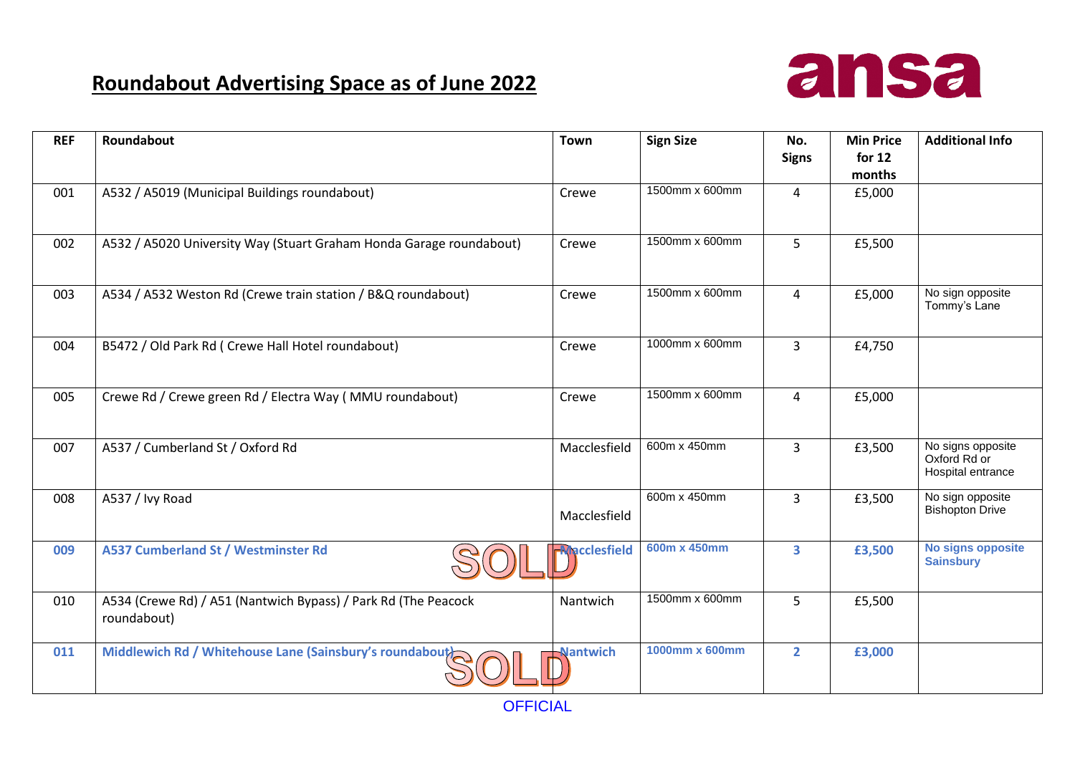## **Roundabout Advertising Space as of June 2022**



| <b>REF</b> | Roundabout                                                                    | <b>Town</b>         | <b>Sign Size</b> | No.<br><b>Signs</b> | <b>Min Price</b><br>for $12$ | <b>Additional Info</b>                                 |
|------------|-------------------------------------------------------------------------------|---------------------|------------------|---------------------|------------------------------|--------------------------------------------------------|
|            |                                                                               |                     |                  |                     | months                       |                                                        |
| 001        | A532 / A5019 (Municipal Buildings roundabout)                                 | Crewe               | 1500mm x 600mm   | 4                   | £5,000                       |                                                        |
| 002        | A532 / A5020 University Way (Stuart Graham Honda Garage roundabout)           | Crewe               | 1500mm x 600mm   | 5                   | £5,500                       |                                                        |
| 003        | A534 / A532 Weston Rd (Crewe train station / B&Q roundabout)                  | Crewe               | 1500mm x 600mm   | 4                   | £5,000                       | No sign opposite<br>Tommy's Lane                       |
| 004        | B5472 / Old Park Rd ( Crewe Hall Hotel roundabout)                            | Crewe               | 1000mm x 600mm   | 3                   | £4,750                       |                                                        |
| 005        | Crewe Rd / Crewe green Rd / Electra Way (MMU roundabout)                      | Crewe               | 1500mm x 600mm   | 4                   | £5,000                       |                                                        |
| 007        | A537 / Cumberland St / Oxford Rd                                              | Macclesfield        | 600m x 450mm     | $\overline{3}$      | £3,500                       | No signs opposite<br>Oxford Rd or<br>Hospital entrance |
| 008        | A537 / Ivy Road                                                               | Macclesfield        | 600m x 450mm     | $\overline{3}$      | £3,500                       | No sign opposite<br><b>Bishopton Drive</b>             |
| 009        | <b>A537 Cumberland St / Westminster Rd</b>                                    | <b>Nacclesfield</b> | 600m x 450mm     | 3                   | £3,500                       | No signs opposite<br><b>Sainsbury</b>                  |
| 010        | A534 (Crewe Rd) / A51 (Nantwich Bypass) / Park Rd (The Peacock<br>roundabout) | Nantwich            | 1500mm x 600mm   | 5                   | £5,500                       |                                                        |
| 011        | Middlewich Rd / Whitehouse Lane (Sainsbury's roundabout)                      | Nantwich            | 1000mm x 600mm   | $\overline{2}$      | £3,000                       |                                                        |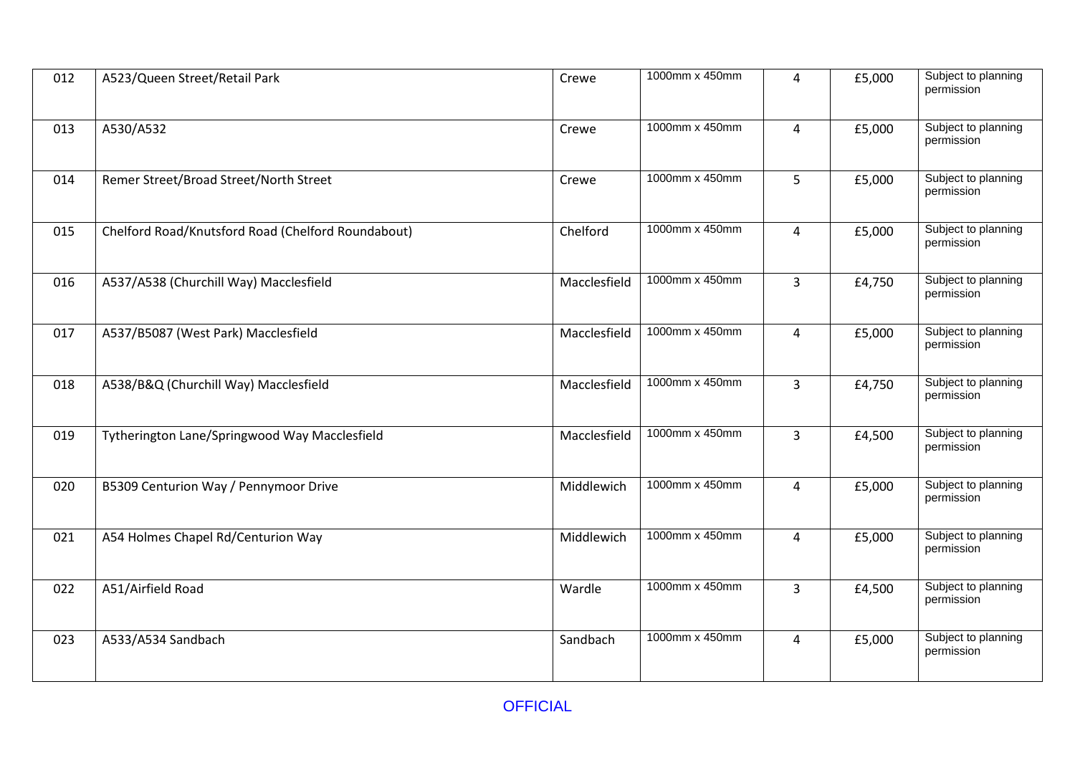| 012 | A523/Queen Street/Retail Park                      | Crewe        | 1000mm x 450mm | 4              | £5,000 | Subject to planning<br>permission |
|-----|----------------------------------------------------|--------------|----------------|----------------|--------|-----------------------------------|
| 013 | A530/A532                                          | Crewe        | 1000mm x 450mm | 4              | £5,000 | Subject to planning<br>permission |
| 014 | Remer Street/Broad Street/North Street             | Crewe        | 1000mm x 450mm | $\overline{5}$ | £5,000 | Subject to planning<br>permission |
| 015 | Chelford Road/Knutsford Road (Chelford Roundabout) | Chelford     | 1000mm x 450mm | $\overline{4}$ | £5,000 | Subject to planning<br>permission |
| 016 | A537/A538 (Churchill Way) Macclesfield             | Macclesfield | 1000mm x 450mm | $\overline{3}$ | £4,750 | Subject to planning<br>permission |
| 017 | A537/B5087 (West Park) Macclesfield                | Macclesfield | 1000mm x 450mm | $\overline{4}$ | £5,000 | Subject to planning<br>permission |
| 018 | A538/B&Q (Churchill Way) Macclesfield              | Macclesfield | 1000mm x 450mm | $\overline{3}$ | £4,750 | Subject to planning<br>permission |
| 019 | Tytherington Lane/Springwood Way Macclesfield      | Macclesfield | 1000mm x 450mm | $\overline{3}$ | £4,500 | Subject to planning<br>permission |
| 020 | B5309 Centurion Way / Pennymoor Drive              | Middlewich   | 1000mm x 450mm | $\overline{4}$ | £5,000 | Subject to planning<br>permission |
| 021 | A54 Holmes Chapel Rd/Centurion Way                 | Middlewich   | 1000mm x 450mm | $\overline{4}$ | £5,000 | Subject to planning<br>permission |
| 022 | A51/Airfield Road                                  | Wardle       | 1000mm x 450mm | $\overline{3}$ | £4,500 | Subject to planning<br>permission |
| 023 | A533/A534 Sandbach                                 | Sandbach     | 1000mm x 450mm | $\overline{4}$ | £5,000 | Subject to planning<br>permission |